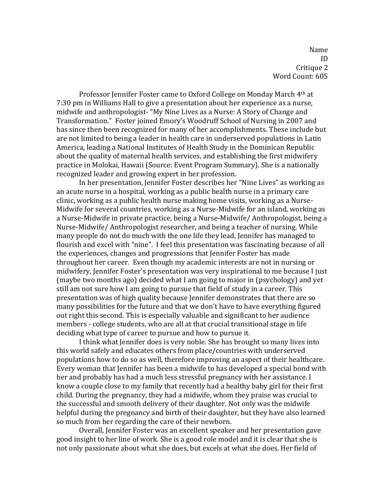Name ID Critique 2 Word Count: 605

Professor Jennifer Foster came to Oxford College on Monday March 4th at 7:30 pm in Williams Hall to give a presentation about her experience as a nurse, midwife and anthropologist- "My Nine Lives as a Nurse: A Story of Change and Transformation." Foster joined Emory's Woodruff School of Nursing in 2007 and has since then been recognized for many of her accomplishments. These include but are not limited to being a leader in health care in underserved populations in Latin America, leading a National Institutes of Health Study in the Dominican Republic about the quality of maternal health services, and establishing the first midwifery practice in Molokai, Hawaii (Source: Event Program Summary). She is a nationally recognized leader and growing expert in her profession.

In her presentation, Jennifer Foster describes her "Nine Lives" as working as an acute nurse in a hospital, working as a public health nurse in a primary care clinic, working as a public health nurse making home visits, working as a Nurse-Midwife for several countries, working as a Nurse-Midwife for an island, working as a Nurse-Midwife in private practice, being a Nurse-Midwife/ Anthropologist, being a Nurse-Midwife/ Anthropologist researcher, and being a teacher of nursing. While many people do not do much with the one life they lead, Jennifer has managed to flourish and excel with "nine". I feel this presentation was fascinating because of all the experiences, changes and progressions that Jennifer Foster has made throughout her career. Even though my academic interests are not in nursing or midwifery, Jennifer Foster's presentation was very inspirational to me because I just (maybe two months ago) decided what I am going to major in (psychology) and yet still am not sure how I am going to pursue that field of study in a career. This presentation was of high quality because Jennifer demonstrates that there are so many possibilities for the future and that we don't have to have everything figured out right this second. This is especially valuable and significant to her audience members - college students, who are all at that crucial transitional stage in life deciding what type of career to pursue and how to pursue it.

I think what Jennifer does is very noble. She has brought so many lives into this world safely and educates others from place/countries with underserved populations how to do so as well, therefore improving an aspect of their healthcare. Every woman that Jennifer has been a midwife to has developed a special bond with her and probably has had a much less stressful pregnancy with her assistance. I know a couple close to my family that recently had a healthy baby girl for their first child. During the pregnancy, they had a midwife, whom they praise was crucial to the successful and smooth delivery of their daughter. Not only was the midwife helpful during the pregnancy and birth of their daughter, but they have also learned so much from her regarding the care of their newborn.

Overall, Jennifer Foster was an excellent speaker and her presentation gave good insight to her line of work. She is a good role model and it is clear that she is not only passionate about what she does, but excels at what she does. Her field of